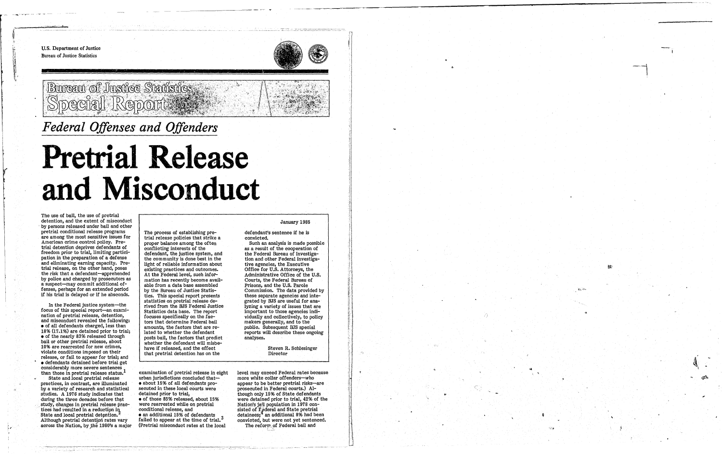o

u.s. Department of Justice Bureau of Justice Statistics



# *Federal Offenses and Offenders*

"'1"-"""'< . ,- .. ,- \_ .. -.-.~ .• -.~-,--,.,> '",'

# Bureau of Justice Statistic

# **Pretrial Release and Misconduct**

The use of bail, the use of pretrial detention, and the extent of misconduct by persons released under bail and other pretrial conditional release programs are among the most sensitive issues for American crime control policy. Pretrial detention deprives defendants of freedom prior to trial, limiting participation in the preparation of a defense and eliminating earning capacity. Pretrial release, on the other hand, poses the risk that a defendant-apprehended by police and charged by prosecutors as a suspect-may commit additional offenses, perhaps for an extended period if his trial is delayed or if he absconds.

State and local pretrial release practices, in contrast, are illuminated by a variety of research and statistical stUdies. A 1976 study indicates that during the three decades before that study, changes in pretrial release practices had resulted in a reduction in State and local pretrial detention.<sup>2</sup> Although pretrial detentipn rates vary across the Nation, by the 1980's a major

In the Federal justice system-the focus of this special report-an examination of pretrial release, detention, and misconduct revealed the following: • of all defendants charged, less than 18% (17.1%) are detained prior to trial; • of the nearly 83% released through bail or other pretrial release, about 10% are rearrested for new crimes, violate conditions imposed on their release, or fall to appear for trial; and  $\bullet$  defendants detained before trial get considerably more severe sentences. than those in pretrial release status.

level may exceed Federal rates because more white collar offenders-who appear to be better pretrial risks-are prosecuted in.Federal courts.) Although only 15% of State defendants were detained prior to trial, 42% of the Nation's jail population in 1978 consisted of  $\Gamma$ <sub>i</sub>deral and State pretrial detainees;<sup>4</sup> an additional 8% had been convicted, but were not yet sentenced. The reform of Federal bail and



The process of establishing pretrial release policies that strike a proper balance among the often conflicting interests of the defendant, the justice system, and the community is done best in the light of reliable information about existing practices and outcomes. At the Federal level, such information has recently become available from a data base assembled by the Bureau of Justice Statistics. This special report presents statistics on pretrial release derived from the BJS Federal Justice Statistics data base. The report focuses specifically on the factors that determine Federal bail amounts, the factors that are related to whether the defendant posts bail, the factors that predict whether the defendant will misbehave if released, and the effect that pretrial detention has on the

examination of pretrial release in eight urban jurisdictions concluded that- $\bullet$  about 15% of all defendants prosecuted in these local courts were detained prior to trial, • of those 85% released, about 15% were rearrested while on pretrial conditional release, and

• an additional 15% of defendants failed to appear at the time of trial.<sup>3</sup> (Pretrial misconduct rates at the local

#### January 1985

defendant's sentence if he is convicted.

Such an analysis is made possible as a result of the cooperation of the Federal Bureau of Investigation and other Federal investigative agencies, the Executive Office for U.S. Attorneys, the Administrative Office of the U.S. Courts, the Federal Bureau of Prisons, and the U.S. Parole Commission. The data provided by these separate agencies and integrated by BJS are useful for analyzing a variety of issues that are important to those agencies individually and collectively, to policy makers generally, and to the public. Subsequent BJS special reports will describe these ongoing analyses.

> Steven R. Schlesinger Director

! !<br>!<br>! :\ j I

'.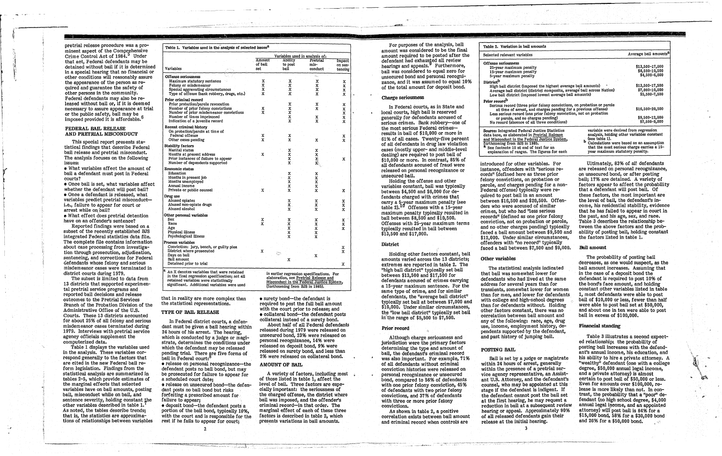, "

pretrial release procedure was a prominent aspect of the Comprehensive Crime Control Act of 1984.<sup>5</sup> Under that act, Federal defendants may be detained without bail if it is determined in a special hearing that no financial or other conditions will reasonably assure the appearance of the person as required and guarantee the safety of other persons in the community. Federal defendants may also be released without bail or, if it *is* deemed necessary to assure appearance at trial or the public safety, bail may be imposed provided it is affordable.

--~.------~.~.~--~---- r-

#### FEDERAL BAIL RELEASE AND PRETRIAL MISCONDUCT

• Once bail is set, what variables affect whether the defendant will post bail? • Once a defendant is released, what variables predict pretrial misconducti.e., failure to appear for court or arrest while on bail?

 $\bullet$  What effect does pretrial detention have on an offender's sentence?

This special report presents statistical findings that describe Federal bail release and pretrial misconduct. The analysis focuses on the following issues:

• What variables affect the amount of bail a defendant must post in Federal courts?

Table 1 displays the variables used in the analysis. These variables correspond generally to the factors that are cited in the new Federal bail reform legislation. Findings from the statistical analysis are summarized in tables 2-5, which provide estimates of the marginal effects that selected variables have on bail amounts, posting bail, misconduct while on bail, and sentence severity, holding constant the other variables described in table 1. As noted, the tables describe trends; that is, the statistics are approximations of relationships between variables

Reported findings were based on a subset of the recently established BJS integrated Federal. statistics data *the.*  The complete file contains information about case processing from investigation through prosecution, adjudication, sentencing, and corrections for Federal defendants whose felony and serious misdemeanor cases were terminated in district courts during 1979.

The subset is limited to data from 13 districts that supported experimental pretrial service programs and reported bail decisions and release outcomes to the Pretrial Services Branch of the Probation Division of the Administrative Office of the U.S. Courts. These 13 districts accounted for about 25% of all felony and serious misdemeanor cases terminated during 1979. Interviews with pretrial service agency officials supplement the computerized data.

that in reality are more complex than the statistical representations.

• deposit bond-the defendant posts a portion of the bail bond, typically 10%, with the court and is responsible for the rest if he fails to appear for court;

 $\gamma$ 

About half of all Federal defendants released during 1979 were released on unsecured bond, 23% were released on personal recognizance, 14% were released on deposit bond, 9% were released on surety bond, and less than 2% were released on collateral bond.

A variety of factors, including most of those listed in table 1, affect the level of bail. Three factors are especially important: the seriousness of the charged offense, the district where bail was imposed, and the offender's criminal record-in that order. The marginal effect of each of these three factors is described in table 2, which presents variations in bail amounts.

|                                                                                                                                                                                     | Variables used in analysis of: |                                                                                                                                                                    |                    |                          |
|-------------------------------------------------------------------------------------------------------------------------------------------------------------------------------------|--------------------------------|--------------------------------------------------------------------------------------------------------------------------------------------------------------------|--------------------|--------------------------|
|                                                                                                                                                                                     | Amount<br>of bail              | Ability<br>to post                                                                                                                                                 | Pretrial<br>mis-   | <b>Impact</b><br>on sen- |
| Variables                                                                                                                                                                           | set                            | bail                                                                                                                                                               | conduct            | tencing                  |
| Offense seriousness                                                                                                                                                                 |                                |                                                                                                                                                                    | чы,                |                          |
| Maximum statutory sentence                                                                                                                                                          | X.                             | X                                                                                                                                                                  | x                  | x                        |
| Felony or misdemeanor                                                                                                                                                               | X                              | X                                                                                                                                                                  | X                  | X                        |
| Special aggravating circumstances                                                                                                                                                   | X                              | X                                                                                                                                                                  | X.                 | X                        |
| Type of offense (bank robbery, drugs, etc.)                                                                                                                                         | x                              | X                                                                                                                                                                  | x                  | X                        |
| Prior criminal record                                                                                                                                                               |                                |                                                                                                                                                                    |                    |                          |
| Prior probation/parole revocation                                                                                                                                                   |                                | x                                                                                                                                                                  | x                  | х                        |
| Number of prior felony convictions                                                                                                                                                  | X                              | X                                                                                                                                                                  | x                  | X                        |
| Number of prior misdemeanor convictions                                                                                                                                             | x                              | $\ddot{x}$                                                                                                                                                         |                    | X                        |
| Number of times imprisoned                                                                                                                                                          |                                | X                                                                                                                                                                  | x                  | x                        |
| Indication of a juvenile record                                                                                                                                                     |                                | X                                                                                                                                                                  | X                  | x                        |
| Recent criminal history                                                                                                                                                             |                                |                                                                                                                                                                    |                    |                          |
| On probation/parole at time of                                                                                                                                                      |                                |                                                                                                                                                                    |                    |                          |
| Federal offense                                                                                                                                                                     | x                              | x                                                                                                                                                                  |                    | x                        |
| Other cases pending                                                                                                                                                                 | x                              | x                                                                                                                                                                  | X                  | x                        |
| <b>Stability factors</b>                                                                                                                                                            |                                |                                                                                                                                                                    |                    |                          |
| Marital status                                                                                                                                                                      |                                | x                                                                                                                                                                  | X                  |                          |
| Months at present address                                                                                                                                                           | x                              | X                                                                                                                                                                  | X                  |                          |
| Prior instances of failure to appear                                                                                                                                                |                                | x                                                                                                                                                                  | X)                 | x                        |
| Number of dependents supported                                                                                                                                                      |                                | х.                                                                                                                                                                 | X.                 |                          |
| <b>Economic status</b>                                                                                                                                                              |                                |                                                                                                                                                                    |                    |                          |
| Education                                                                                                                                                                           |                                | X                                                                                                                                                                  | X                  |                          |
| Months in present job                                                                                                                                                               |                                | X                                                                                                                                                                  | X                  |                          |
| Months unemployed                                                                                                                                                                   |                                | X                                                                                                                                                                  | x                  |                          |
| Annual income                                                                                                                                                                       |                                | x                                                                                                                                                                  | X                  |                          |
| Private or public counsel                                                                                                                                                           | x                              | x                                                                                                                                                                  | x                  | x                        |
| Drug use                                                                                                                                                                            |                                |                                                                                                                                                                    |                    |                          |
| Abused opiates                                                                                                                                                                      |                                | x                                                                                                                                                                  | X                  | x                        |
| Abused non-opiate drugs                                                                                                                                                             |                                | Х.                                                                                                                                                                 | x                  | X                        |
| Abused alcohol                                                                                                                                                                      |                                | x                                                                                                                                                                  | X                  | x                        |
| Other personal variables                                                                                                                                                            |                                |                                                                                                                                                                    |                    |                          |
| Sex                                                                                                                                                                                 | x                              | X                                                                                                                                                                  | X                  | $\mathbf{x}$             |
| Race                                                                                                                                                                                | x                              | x                                                                                                                                                                  | X                  | $\bar{\mathbf{x}}$       |
| Age                                                                                                                                                                                 |                                | X                                                                                                                                                                  | x                  | X                        |
| Physical illness                                                                                                                                                                    |                                | X                                                                                                                                                                  | $\bar{\mathbf{x}}$ |                          |
| Psychological illness                                                                                                                                                               |                                | X                                                                                                                                                                  | x                  |                          |
| Process variables                                                                                                                                                                   |                                |                                                                                                                                                                    |                    |                          |
| Conviction: jury, bench, or guilty plea                                                                                                                                             |                                |                                                                                                                                                                    |                    | x                        |
| District where prosecuted                                                                                                                                                           | X                              |                                                                                                                                                                    |                    | X                        |
| Days on bail                                                                                                                                                                        |                                |                                                                                                                                                                    | x                  |                          |
| Bail amount                                                                                                                                                                         |                                | x                                                                                                                                                                  |                    |                          |
| Detained prior to trial                                                                                                                                                             |                                |                                                                                                                                                                    |                    | Х                        |
| An X denotes variables that were retained<br>In the final regression specification; not all<br>retained variables were statistically<br>significant. Additional variables were used |                                | in earlier regression specifications. For<br>elaboration, see Pretrial Release and<br>Misconduct in the Federal Justice System,<br>(fortheoming from BJS in 1985). |                    |                          |

Although charge seriousness and jurisdiction were the primary factors determining the type and amount of bail, the defendant's criminal record was also important. For example, 71% of all defendants without criminal conviction histories were released on personal recognizance or unsecured bond, compared to 56% of defendants with one prior felony conviction, 45% of defendants with two prior felony convictions, and 37% of defendants with three or more prior felony<br>convictions.

#### TYPE OF BAIL RELEASE

In Federal district courts, a defendant must be given a bail hearing within 24 hours of his arrest. The hearing, which is conducted by a judge or magistrate, determines the conditions under which the defendant may be released pending trial. There are five forms of bail in Federal court:<sup>c</sup> • release on personal recognizance—the defendant posts no bail bond, but may be prosecuted for failure to appear for a scheduled court date; o release on unsecured bond-the defendant posts no bail bond but risks

forfeiting a prescribed amount for failure to appear;

• surety bond-the defendant is required to post the full bail amount with the court prior to release; and • collateral bond-the defendant posts collateral instead of a surety bond.

#### AMOUNT OF BAIL

Ultimately, 83% of all defendants are released on personal recognizance, on unsecured bond, or after posting bail; 17% are detained. A variety of factors appear to affect the probability that a defendant wlll post bail. Of these factors, the most important are the level of bail, the defendant's income, his residential stability, evidence that he has failed to appear in court in the past, and his age, sex, and race. Table 3 describes the relationship between the above factors and the probability of posting bail, holding constant the factors listed in table 1.

For purposes of the analysis, bail amount was considered to be the final amount required to be posted after the defendant had exhausted all review hearings and appeals.<sup>3</sup> Furthermore, bail was considered to equal zero for unsecured bond and personal recognizance, and it was assumed to equal 10% of the total amount for deposit bond.

> Table 3 illustrates a second expected relationship: the probability of posting bail increases with the defendant's annual income, his education, and his ability to hire a private attorney. A "wealthy" defendant (one with a college degree, \$50,000 annual legal income, and a private attorney) is almost certain to post bail of \$5Q,000 or less. EVen for amounts over \$100,000, release is more likely than not. In contrast, the probability that a "poor" defendant (no high school degree, \$4,000 annual legal income, and an appointed attorney) will post bail is 84% for a \$15,000 bond, 58% for a \$30,000 bond and  $26\%$  for a  $$50,000$  bond.

# Charge seriousness

In Federal courts, as in State and local courts, high bail is reserved generally for defendants accused of serious crimes. Bank robbery-one of the most serious Federal crimesresults in bail of \$10,000 or more in 61% of all cases. Twenty-five percent of all defendants in drug law violation cases (mostly upper- and middle-level dealing) are required to post bail of \$10,000 or more. In contrast, 85% of all defendants accused of fraud were released on personal recognizance or unsecured bail.

Holding the offense and other variables constant, bail was typically between \$4,500 and \$6,000 for defendants charged with crimes that carry a 5-year maximum penalty (see<br>table 2).<sup>10</sup> Offenses with a 15-year table 2). $10$  Offenses with a 15-year maximum penalty typically resulted in bail between \$8,500 and \$10,500. Offenses with 25-year maximum terms typically resulted in bail between \$13,500 and \$17,000.

# District

Holding other factors constant, bail amounts varied across the 13 districts; extremes are reported in table 2. The "high bail district" typically set bail between \$13,500 and \$17,500 for defendants accused of crimes carrying a 15-year maximum sentence. For the same type of crime, and for similar defendants, the "average bail district" typically set bail at between \$7,000 and \$10,000. Under similar circumstances, the "low bail district" typically set bail in the range of  $$5,500$  to  $$7,500$ .

#### Prior'record

As shown in table 2, a positive correlation exists between bail amount and criminal record when controls are

• I~ '. ~ ~ • " .... !.... ;.-:- '~'.:.

#### Bail amount

introduced for other variables. For instance, offenders with "serious  $re$ cords" (defined here as three prior felony convictions, on probation or parole, and charges pending for a non-Federal offense) typically were required to post bail in an amount between  $$16,500$  and  $$20,500$ . Offenders who were accused of similar crimes, but who had "less serious records" (defined as one prior felony conviction, not on probation or parole, and no other charges pending) typically faced a bail amount between \$9,500 and \$12,000. Under similar circumstances, offenders with "no record" typically faced a bail between \$7,500 and \$9,000.

| Table 2. Variation in bail amounts                                                                                                                                                                                                                                                                                                                                                                                                    |                                                                                        |
|---------------------------------------------------------------------------------------------------------------------------------------------------------------------------------------------------------------------------------------------------------------------------------------------------------------------------------------------------------------------------------------------------------------------------------------|----------------------------------------------------------------------------------------|
| Selected relevant variables                                                                                                                                                                                                                                                                                                                                                                                                           | Average bail amounts <sup>a</sup>                                                      |
| Offense seriousness<br>25-year maximum penalty<br>15-year maximum penalty<br>5-year maximum penalty                                                                                                                                                                                                                                                                                                                                   | \$13,500-17,000<br>\$8,500-10,500<br>\$4,500-6,000                                     |
| <b>District</b> <sup>b</sup><br>High bail district (imposed the highest average bail amounts)<br>Average bail district (district composite, average bail across Nation)<br>Low bail district (imposed lowest average bail amounts)                                                                                                                                                                                                    | \$13,500-17,500<br>\$7,000-10,000<br>\$5,500-7,500                                     |
| Prior record <sup>b</sup><br>Serious record (three prior felony convictions, on probation or parole<br>at time of arrest, and charges pending for a previous offense)<br>Less serious record (one prior felony conviction, not on probation<br>or parole, and no charges pending)<br>No record (absence of all three conditions)                                                                                                      | \$16,500-20,500<br>\$9,500-12,000<br>\$7,500-9,000                                     |
| variable were derived from regression<br>Source: Integrated Federal Justice Statistics<br>analysis, holding other variables constant<br>data base, as elaborated in Pretrial Release<br>(see table 1).<br>and Misconduct in the Federal Justice System,<br>ь<br>fortheoming from BJS in 1985.<br><sup>a</sup> See footnote 10 at end of text for an<br>year maximum statutory penalty.<br>explanation of ranges. The figures for each | Calculations were based on an assumption<br>that the most serious charge carries a 15- |

### Other variables

The statistical analysis indicated that bail was somewhat lower for defendants who had lived at the same address for several years than for transients, somewhat lower for women than for men, and lower for defendants with college and high-school degrees than for defendants without. Holding other factors constant, there was no correlation between bail amount and any of the following: race, age, drug use, income, employment history, dependents supported by the defendant, and past history of jumping bail.

#### POSTING BAIL

Bail is set by a Judge or magistrate within 24 hours of arrest, generally within the presence of a pretrial service agency representative, an Assistant U.S. Attorney, and the defendant's counsel, who may be appointed at this stage if the defendant is indigent. If the defendant cannot post the bail set at the first hearing, he may request a reduction in bail at a subsequent review hearing or appeal. Approximately 90% of all released defendants gain their release at the initial hearing.

3

The probability of posting bail decreases, as one would suspect, as the bail amount increases. ASSUming that in the case of a deposit bond the defendant is required to post 10% of the bond's face amount, and holding constant :pther variables listed in table 1, most defendants were able to post bail of \$10,000 or less, fewer than half were able to post bail set at \$50,000, and about one in ten were able to post bail in excess of \$100,000.

#### Financial standing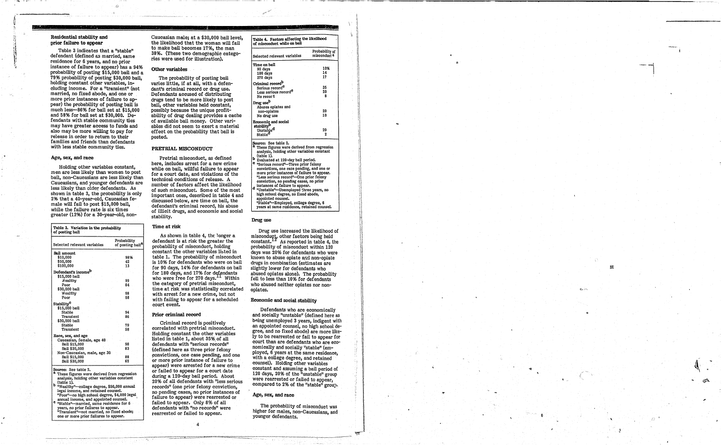..

# Residential stability and prior failure to appear

Table 3 indicates that a "stable" defendant (defined &s married, same residence for 6 years, and no prior instance of failure to appear) has a 9496 probability of posting \$15,000 bail and a 79% probability of posting \$30,000 bail, holding constant other variables, including income. For a "transient" (not married, no fixed abode, and one or more prior instances of failure to appear) the probability of posting bail is much less-86% for bail set at \$15,000 and 58% for bail set at \$30,000. Defendants with stable community ties may have greater access to funds and also may be more willing to pay for release in order to return to their families and friends than defendants with less stable community ties.

#### Age, sex, and race

These figures were derived from regression analysis, holding other variables constant (table 1).

- "Wealthy"-college degree, \$50,000 annual legal income, and retained counsel. "Poor"-no high school degree, \$4,000 legal
- e "Stable"--married, same residence for 6 years, no prior failures to appear.<br>
"Transient"--not married, no fixed abode;<br>
"Transient"--not married, no fixed abode;<br>
one or more prior failures to appear.
- 

Holding other variables constant, men are less likely than women to post bail, non-Caucasians are less likely than Caucasians, and younger defendants are less likely than clder defendants. As shown in table 3, the probability is only 2% that a 40-year-old, Caucasian female will fail to post \$15,000 bail. while the failure rate is six times greater (12%) for a 30-year-old, non-

| Table 3. Variation in the probability<br>of posting bail |                                             |  |  |  |
|----------------------------------------------------------|---------------------------------------------|--|--|--|
| Selected relevant variables                              | Probability<br>of posting bail <sup>a</sup> |  |  |  |
| Bail amount                                              |                                             |  |  |  |
| \$10,000                                                 | 98%                                         |  |  |  |
| \$50,000                                                 | 42                                          |  |  |  |
| \$100,000                                                | 13                                          |  |  |  |
| Defendant's income <sup>b</sup>                          |                                             |  |  |  |
| \$15,000 bail                                            |                                             |  |  |  |
| Wealthy                                                  | 99                                          |  |  |  |
| Poor                                                     | 84                                          |  |  |  |
| \$30,000 bail                                            |                                             |  |  |  |
| Wealthy                                                  | 98                                          |  |  |  |
| Poor                                                     | 58                                          |  |  |  |
| Stability <sup>C</sup>                                   |                                             |  |  |  |
| \$15,000 bail                                            |                                             |  |  |  |
| Stable                                                   | 94                                          |  |  |  |
| Transient                                                | 86                                          |  |  |  |
| \$30,000 bail                                            |                                             |  |  |  |
| Stable                                                   | 79                                          |  |  |  |
| Transient                                                | 58                                          |  |  |  |
| Race, sex, and age                                       |                                             |  |  |  |
| Caucasian, female, age 40.                               |                                             |  |  |  |
| Bail \$15,000                                            | 98                                          |  |  |  |
| Bail \$30,000                                            | 83                                          |  |  |  |
| Non-Caucasian, male, age 30                              |                                             |  |  |  |
| Bail \$15,000                                            | 88                                          |  |  |  |
| Bail \$30,000                                            | 62                                          |  |  |  |
| Sourner See table 2                                      |                                             |  |  |  |

As shown in table 4, the longer a defendant is at risk the greater the probability of misconduct, holding constant the other variables listed in table 1. The probability of misconduct is 10% for defendants who were on bail for 90 days, i496 for defendants on bail for 180 days, and 17% for defendants who were free for 270 days.<sup>11</sup> Within the category of pretrial misconduct, time at risk was statistically correlated with arrest for a new crime, but not with failing to appear for a scheduled court event. .

### Other variables

| Residential stability and<br>prior failure to appear                                                                                                                                                                                                                                                                                                                                                                                                                                                                                                                                                | Caucasian male; at a \$30,000 bail level,<br>the likelihood that the woman will fail                                                                                                                                                                                                                                                                                                                                                                                      | Table 4. Factors affecting the likelihood<br>of misconduct while on bail                                                                                                                                                                                                                                                      |                                               |  |
|-----------------------------------------------------------------------------------------------------------------------------------------------------------------------------------------------------------------------------------------------------------------------------------------------------------------------------------------------------------------------------------------------------------------------------------------------------------------------------------------------------------------------------------------------------------------------------------------------------|---------------------------------------------------------------------------------------------------------------------------------------------------------------------------------------------------------------------------------------------------------------------------------------------------------------------------------------------------------------------------------------------------------------------------------------------------------------------------|-------------------------------------------------------------------------------------------------------------------------------------------------------------------------------------------------------------------------------------------------------------------------------------------------------------------------------|-----------------------------------------------|--|
| Table 3 indicates that a "stable"<br>defendant (defined as married, same                                                                                                                                                                                                                                                                                                                                                                                                                                                                                                                            | to make bail becomes 17%, the man<br>38%. (These two demographic catego-<br>ries were used for illustration).                                                                                                                                                                                                                                                                                                                                                             | Selected relevant variables                                                                                                                                                                                                                                                                                                   | Probability of<br>misconduct <sup>a</sup>     |  |
| residence for 6 years, and no prior<br>instance of failure to appear) has a 94%<br>probability of posting \$15,000 bail and a<br>79% probability of posting \$30,000 bail,<br>holding constant other variables, in-<br>cluding income. For a "transient" (not<br>married, no fixed abode, and one or<br>more prior instances of failure to ap-<br>pear) the probability of posting bail is<br>much less-86% for bail set at \$15,000<br>and 58% for bail set at \$30,000. De-<br>fendants with stable community ties<br>may have greater access to funds and<br>also may be more willing to pay for | Other variables<br>The probability of posting bail<br>varies little, if at all, with a defen-<br>dant's criminal record or drug use.<br>Defendants accused of distributing<br>drugs tend to be more likely to post<br>bail, other variables held constant,<br>possibly because the unique profit-<br>ability of drug dealing provides a cache<br>of available bail money. Other vari-<br>ables did not seem to exert a material<br>effect on the probability that bail is | Time on bail<br>90 days<br>180 days<br>270 days<br>Criminal record <sup>D</sup><br>Serious record <sup>e</sup><br>Less serious record <sup>c</sup><br>No record<br>Drug use <sup>b</sup><br>Abuses opiates and<br>non-opiates<br>No drug use<br><b>Economic and social</b><br>stability <sup>D</sup><br>Unstable <sup>d</sup> | 10%<br>14<br>17<br>35<br>20<br>20<br>10<br>20 |  |

Source: See table 2.<br><sup>8</sup> These figures were derived from regression analysis, holding other variables constant (table 1).

### PRETRIAL MISCONDUCT

Defendants who are economically and socially "unstable" (defined here as being unemployed 3 years, indigent with an appointed counsel, no high school degree, and no fixed abode) are more likely to be rearrested or fail to appear for court than are defendants who are economically and socially "stable" (employed, 6 years at the same residence, with a college degree, and retained counsel). Holding other variables constant and assuming a bail period of 120 days, 20% of the "unstable" group were rearrested or failed to appear, compared to 2% of the "stable" group.

Pretrial misconduct, as defined here, includes arrest for a new crime while on bail, willful failure to appear for a court date, and violations of the technical conditions of release. A number of factors affect the likelihood of such misconduct. Some of the most important ones, described in table 4 and discussed below, are time on bail, the defendant's criminal record, his abuse of illicit drugs, and economic and social stability.

### Time at risk

II 'l .1 l. i) !!  $\parallel$ 

> $\mathbb{N}$ II



#### Prior criminal record

Criminal record is positively correlated with pretrial misconduct. Holding constant the other variables listed in table 1, about 35% of all defendants with "serious records" (defined here as three prior felony convictions, one case pending, and one or more prior instance of failure to appear) were arrested for a new crime or failed to appear for a court date during a 12o-day bail period. About 20% of all defendants with "less serious records" (one prior felony conviction, no pending cases, no prior instances of failure to appear) were rearrested or failed to appear. Only 8% of all defendants with "no records" were rearrested or failed to appear.

4

- b Evaluated at 120-day bail period.
- c "Serious record"-Three prior felony convictions, one case pending, and one or more prior instances of failure to appear. "Less serious record''-One prior felony conviction, no pending cases, no prior instances of failure to appear.<br>"Unstable"—Unemployed three years, no
- high school degree, no fixed abode, appointed counsel. "Stable''-Employed, college degree, 6 years at same residence, retained counsel.

#### Drug use

Drug use increased the likelihood of misconduct, other factors being held constant.  $12$  As reported in table 4, the probability of misconduct within 120 days was 2096 for defendants who were known to abuse opiate and non-opiate drugs in combination (estimates are slightly lower for defendants who abused opiates alone). The probability fell to less than 10% for defendants who abused neither opiates nor nonopiates.

#### Economic and social stability

#### Age, sex, and race

The probability of misconduct was higher for males, non-Caucasians, and younger defendants.

!

1\  $~\cdot~$  II II II II ,j

> 11 11 H I' ,I

**II** III III III II

1'1 \l .( H g<br>pangalawan<br>pangalawan <sup>~</sup>j II )' :1 II U<br>U IV I I It

> 1"\ !i !' \ t II ,j

il.

11 ij

II

~ r

/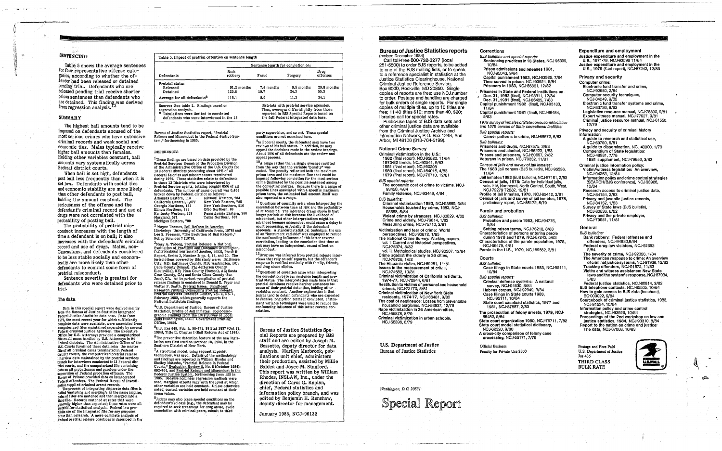*o* 

# **SENTENCING**

Table 5 shows the average sentences for four representative offense categories, according to whether the offender had been released or detained pending'trial. Defendants who are released pending trial receive shorter prison sentences than defendants who are detained. This finding<sub>3</sub>was derived from regression analysis.

#### SUMMARY

The highest bail amounts tend to be imposed on defendants accused of the most serious crimes who have extensive criminal records and weak social and economic ties. Males typically receive higher bail amounts than females. Holding other variables constant, bail amounts vary systematically across Federal district courts.

When bail is set high, defendants post bail less frequently than when it is set low. Defendants with social ties and economic stability are more likely than other defendants to post bail, holding the amount constant. The seriousness of the offense and the defendant's criminal record and use of drugs were not correlated with the probability of posting bail.

The probability of pretrial misconduct increases with the length of time a defendant is on bail; it also increases with the defendant's criminal record and use of drugs. Males, non-Caucasians, and defendants considered to be less stable socially and economically are more likely than other defendants to commit some form of pretrial misconduct.

Data in this special report were derived mainly from the Bureau of Justice Statistics integrated Federal Justice Statistics data base. Data from 1979, the most recent year for which sufficiently complete data were available, were assembled from computerized files maintained separately by several Federal criminal justice agencies. The Executive Office for u.s. Attorneys provided a computerized file on all cases handled by U.S. Attorneys in 94 Federal districts. The Administrative Office of the U.S. Courts furnished three data sets: the master file of all criminal cases terminated in Federal district courts, the computerized pretrial release interview data maintained by the pretrial services branch for interviews conducted in 13 Federal district courts, and the computerized file containing data on all probationers and parolees under the<br>supervision of Federal probation officers. The<br>Bureau of Prisons provided data on incarcerated<br>Federal offenders. The Federal Bureau of Investigation supplied criminal arrest records.

Sentence severity is greatest for defendants who were detained prior to trial.

The process of integrating disparate data files is called "matching and merging"; as the name implies, pairs of files are matched and then merged into a third file.· Records matched at rates that were general!Y higher than expected; these rates were all suitable for statistical analysis. Federal law pro $h$ ibits use of the integrated file for any purposes other than research. A more complete analysis of Federal pretrial release practices is described in the

#### The data

<sup>4</sup>U.S. Department of Justice, Bureau of Justice<br>Statistics, <u>Profile of Jall Inmates: Sociodemo-</u><br>graphic Findings from the 1978 Survey of Local<br>Jails (Washington, D.C.: Government Printing OffIce, 1980).

<sup>5</sup>H.J. Res 648, Pub. L. 98-473, 98 Stat 1837 (Oct 12, 1984), Title n, Chapter I (Bail Reform Act of 1984).  $<sup>6</sup>$ The preventive detention feature of the new legis-</sup> lation was first used on October 18, 1984, in the Southern District of New York.

<sup>7</sup>A structural model, using sequential probit<br>techniques, was used. Details of the methodology and findlags are reported in William Rhodes and Shelley Matsuba, "Pretrial Release in Federal Courts," EValuation Review 8, No.5 (October 1984): 692–704, and <u>Pretrial Release and Misconduct in the Federal Justice System</u>, forthcoming from ESS in<br>Federal Justice System, forthcoming from ESS in<br>1985. Because nonlinear regression methods were<br>used, marginal effects v other variables are held constant. Unless otherwise<br>noted, control variables are held constant at their<br>mean values.

<sup>8</sup>Judges may also place special conditions on the defendant's release (e.g., the defendant may be<br>required to seek treatment for drug abuse, avoid association with criminal peers, submit to third

party supervision, and so on). Those special. ditions are not examined here.

Bureau of Justice statistics report, "Pretrial Release and Misconduct in the Federal Justice System," forthcoming In 1985.

, • ' .. • t t t t and the state of the state of the state of the state of the state of the state of the state

#### **REFERENCES**

<sup>9</sup>In Federal courts, the defendant may have two<br>reviews of his bail status. In addition, he may appeal the decisions made in the review hearings. About 10% of all defendants use the review and appeal process.

10<sub>A</sub> range rather than a single average resulted from the way that the variable "penalty" was coded. The penalty reflected both the maximum prison term and the maximum fine that could be imposed following conviction. for the most serious crime (indicated by the possible sentence) among<br>the convicting charges. Because there is a range of<br>possible fines associated with a specific maximum prison term, the estimated bail amount itself was also reported as a range.

 $11$ Questions of causality arise when interpreting the correlation between time at risk and the probability of misconduct. The inference drawn above is that longer periods at risk increase the likelihood of misconduct, but other interpretations might be court processing, especially if the defendant<br>absconds. A standard statistical technique, the use of an "instrument variable" was employed to reduce<br>the confounding influence of this latter reverse the confounding influcnce of this latter reverse correlation, leading to the conclusion that time at risk may have an independent, causal effect on

1These findings are based on data provided by the Pretrial Services Branch of the Probation Division of the Administrative Office of the U.S. Courts for 13 Federal districts processing about 25% of all Federal felonies and misdemeanors terminated during 1979. These statistics relate to defendants in these 13 Districts who were interviewed by Pretrial Service agents, totaling roughly 65% of all defendants. The number of cases overall was 6,403 broken down by Federal district as follows:<br>Arkansas Fastern, 113 Missouri Western, 284 Arkansas Eastern, 113 Missouri Western, 284 California central, 1,077 New York Eastern, 785 New York Southern, 916<br>Ohio Northern, 86 Georgia Northern, 183<br>Illinois Northern, 783<br>Kentucky Western, 258 Kentucky Western, 258 Pennsylvania Eastern, 280<br>Maryland, 571 Texas Northern, 367 Texas Northern, 367 Michigan Eastern, 700

2 Wayne Thomas, Beil Reform in America (Berkeley: Un:verslty of Califorma Press, 1976) and Lee S. Freeman, "The Evolution of Beil Reform," Policy Sciences 7 (1976).

<sup>3</sup>Mary A. Toborg, <u>Pretrial Release: A National</u><br>Evaluation of Practices and Outcomes (Washington,<br>D.C.: National Institute of Justice, 1982), Phase II Report, Series 3, Number 2: pp. 6, 16, and 20. The jurisdictions covered by this study were: Baltimore City, MD; Baltimore County, MD; Washington, DC;<br>Dade County (Miami), FL; Jefferson County<br>(Louisville), KY; Pima County (Tucson), AZ; Santa<br>Cruz County, CA; and Santa Clara County (San<br>Jose), CA. An important pompilation o release findings is contained in Donald E. Pryor and<br>Walter F. Smith, <u>Pretrial Issues: Significant</u><br>Research Findings Concerning Pretrial Release,<br>Pretrial Services Resource Center, Vol. 4, No. 1, February 1982, which generally supports the National Institute's findings.

| Table 5. Impact of pretrial detention on sentence length                                                                                                  |                                    |                    |                                                                                                                                                                              |                     |  |
|-----------------------------------------------------------------------------------------------------------------------------------------------------------|------------------------------------|--------------------|------------------------------------------------------------------------------------------------------------------------------------------------------------------------------|---------------------|--|
|                                                                                                                                                           | Sentence length for conviction on: |                    |                                                                                                                                                                              |                     |  |
| Defendants                                                                                                                                                | Bank<br>robbery                    | Fraud              | Forgery                                                                                                                                                                      | Drug<br>offenses    |  |
| <b>Pretrial status</b><br>Released<br>Detained                                                                                                            | 91.2 months<br>125.8               | 7.6 months<br>19.7 | 9.5 months<br>24.3                                                                                                                                                           | 29.8 months<br>55.3 |  |
| Average for all defendants <sup>a</sup>                                                                                                                   | 115.1                              | 8.0                | 11.3                                                                                                                                                                         | 34.1                |  |
| Source: See table 2. Findings based on<br>regression analysis.<br>Tabulations were limited to convicted<br>a<br>defendants who were interviewed in the 13 |                                    |                    | districts with pretrial service agencies.<br>Thus, averages differ slightly from those<br>reported in BJS Special Reports based on<br>the full Federal integrated data base. |                     |  |

perspectives, NCJ-93872, 1/85 The Nationa! Crime Survey: Working papers, vol. I: Current and historical perspectives,

NCJ-75374, 8/82 voi. il: Methological studies, NCJ-90307, 12/84 Crime against the elderly in 26 cities,

NCJ-76706, 1/82 The Hispanic victim, NCJ-69261, 11-81 Issues in the measurement of criter,

1974-77, NCJ-70944,6/81 Restitution to victims of personal and household

crimes, NCJ-72770, 5/81 Criminal victimization of New York State reSidents, 1974'77, NCJ·66481, 9/80

The cost of negligence: Losses from preventabie househoid bUrglaries, NCJ'53527, 12/79 Rape victimization in 26 American cities,

Criminal victimization in urban schools, NCJ-56396, 8/79

U.S. Department of Justice Bureau of Justice Statistics

Sentencing practices in 13 States, NCJ-95399. 10/84

5

#### **Corrections**

12Drug use was inferred from pretrial release interviews that rely on self reports, but the offender's response is verified routinely with family, friends, and drug abuse clinics.

13 Questions of causation arise when interpreting the correlation between sentence length and pre-<br>trial status. The interpretation made here is that pretrial detainees receive harsher sentences be- cause of their pretrial detention, holding other variables constant. Another explanation is that judges tend to detain defendants who are expected to receive long prison terms If convicted. Instrument variable techniques were used to reduce the<br>confounding influence of this latter reverse cor-<br>relation.

Bureau of Justice Statistics Special Reports are prepared by BJS staff and are edited by Joseph M. Bessette, deputy director for data analysis. Marilyn Marbrook, publications unit chief, administers their production, assisted by Millie Baldea and Joyce M. Stanford. This report was written by William Rhodes, INSLAW, Inc., under the direction of Carol G. Kaplan, chief, Federal statistics and information policy branch, and was edited by Benjamin H. Renshaw, deputy director for management.

January 1985, NCJ-96132

.- <sup>~</sup>,,'.... . " "' .. I' "~~\r •• , t / ( }I :"! ~.' . ~.

**Bureau of Justice Statistics reports**  (revised December 1984)

Call toll-free 800-732-3277 (local 251-5500) to order BJS reports, to be added to one of the BJS mailing lists, or to speak to a reference specialist in statistica at the Justice Statistics Clearinghouse. Naiional CrimInal Justice Reference Service, Box 6000, Rockville. MD 20850. Single copies of reports are free; use NCJ.number to order. Postage and handling are charged for bulk orders of single reports. For single copies of multiple titles, up to 10 titles are free; 11-40 titles \$10; more than 40. \$20; libraries call for special rates.

Public-use tapes of BJS data sets and other criminal justice data are available from the Criminal Justice Archive and Information Network, P.O. Box 1248. Ann Arbor, Mi 48106 (313-764-5199).

#### National Crime Survey

Criminal victimization in the U.S.: 1982 (final report). NCJ·92820. 11/84 1973-82 trends, NCJ-90541. 9/83 1981 (final report), NCJ-90208 1980 (final report), NCJ-84015. 4/83 1979 (final report). NCJ'76710, 12/81

BJS special reports: The economic cost of crime to victims, NCJ-93450, 4/84 Family violence, NCJ·93449, 4/84

BJS bulletins:

Criminal victimization 1983, NCJ'93869, 6/84 Households touched by crime, 1983, NCJ· 9365B,5/84 Violent crime by strangers. NCJ-80829, 4/82

Crime and elderly, NCJ-79614, 1/82 Measuring crime, NCJ-75710, 2/81 Victimization and fear of crime: World

NCJ-74682.10/81 Criminal victimization of California residents,

NCJ-55878, 8/79

*Washington, D.C 20S31* 



BJS bullelins and special reporls:

- Prison admissions and releases 1981, NCJ·95043, 9/84 Capital punishment 1983, NCJ-93925, 7/84 Time served in prison, NCJ·93924, 6/84 Prisoners in 1983, NCJ'85861, 12/82
- Prisoners in State and Federal institutions on , Dec. 31, 1982 (final), NCJ'93311, 12/84 Dec. 31,.1981 (final), NCJ-86485, 7/83 Capital punishment 1982 (final), NCJ-95133, 11/84
- Capital punishment 1981 (final), NCJ'86484, 5/83
- 1979 survey of Inmales of State correctional facilities and 1979 census of Stale correctional facilities:
- **BJS** special reports: Career patterns in crime, NCJ'88672, 6/83 BJS bulletins:
- Prisoners and drugs, NCJ-87575, 3/83 Prisoners and alcohol, NCJ'86223, 1/83 Prisons and prisoners, NCJ-80697, 2/82 Veterans in prison, NCJ-79232, 11/81
- Census of *Jails and survey of Jail inmates*: The 1983 Jail census (BJS builetin), NCJ'95536, 11/84
- Jail inmates 1 982 (BJS bulletin), NCJ-87161, 2/83 Census of jails, 1978: Data for individual jails, vols. HV, Northeast, North Central, South, West, NCJ-72279-72282, 12/81
- Profile of jail inmates, 1978, NCJ-65412, 2/81 Census of jails and survey of jail inmates, 1978, preliminary report, NCJ'55172, 5/79
- Parole and probation
- **BJS** bulletins:
- Probation and parole 1983, NCJ-94776,<br>9/84 9/84 .
- Setting prison terms, NCJ-76218, 8/83 Characteristics of persons entering parole during 1978 and 1979, NCJ-87243, 5/83
- Characteristics of the parole population, 1978, NCJ-66479,4/81
- Parole in the U.S., 1979, NCJ·69562,3/81

# **Courts**

- BJS bulletin:
- Case filings in State courts 1983, NCJ'95111, 10/84 •
- **BJS** special reports:
- Criminal defense systems: A national survey, NCJ-94630, 8/84
- Habeas corpus, NCJ-92949, 3/84
- Case filings in State courts 1983, NCJ·95111, 10/84
- State court caseload statistics, 1977 and 1981, NCJ'87587, 2/83
- The prosecution of folony arrests, 1979, NCJ-86482,5/84
- State court organization 1980, NCJ-76711, 7/82 State court model statistical dictionary, NCJ-62320, 9/80
- A cross-city comparison of felony case processing, NCJ-55171, 7/79
- Official Business
- Penalty for Private Use \$300

### Expenditure and employment

- Justice expenditure and employment in the U.S., 1971-79, NCJ-92596 11/84
- Justice expenditure and employment in the U.S., 1979 (!..al report), NCJ-87242, 12/83
- Privacy and security
- Computer crime:
- Electronic fund transfer and crime, NCJ·92650, 2/84
- Computer security techniques,
- NCJ'84049,9/82
- Electronic fund transfer systems and crime, NCJ·83736. 9/82
- Legislative resource manual, NCJ·78890, 9/81 Expert witneos manual, NCJ'77927, 9/81 Criminal justice resource manual, NCJ·61550, 12/79
- Privacy and security of criminal history information:
- A guide to research and statistical use, NCJ-69790, 5/81
- A guide to dissemination, NCJ·40000, 1/79 Compendium of State legislation:
- NCJ·48981, 7178 1981 supplement, NCJ'79652, 3/82
- Criminal justice information policy:
- Victim/witness legislation: An overview, NCJ·94263, 12/84
- Information policy and crime control strategies (SEARCH/BJS conference), NCJ-93926, 10/84
- Research access to criminal justice data. NCJ·84154, 2/83
- Privacy and juvenile justice records, NCJ·84152, 1/83
- Survey of State laws (BJS bulletin), NCJ·80836, 6/82
- Privacy and the private employer. NCJ-79651,11/81
- General
- BJS bulletins:
- Bank robbery: Federal offenses and offenders. NCJ·94630,8/84
- Federal drug law violators, NCJ-92692 2/84
- The severity of crime, NCJ·92326, 1/84
- The American response to crime: An overview of criminal justice systems, NCJ-91936, 12/83 Tracking offenders, NCJ-91572, 11/83
- Victim and witness assistance: New State
- laws and the system's response, NCJ'87934, 5/83 Federal justice statistics, NCJ-80814, 3/82
- BJS telephone contacts, NCJ.g5505, 10/84 How to gain access to BJS data (brochure),
- BC{)00022, 9/84
- Sourcebook of criminal justice statistics, 1983, NCJ-91534,10/84
- Information policy and crime control strategies, NCJ·93926, 10/84
- Proceedings of the 2nd workshop on law and justice statistics, 1984, NCJ-93310, 8/84
- Report to the nation on crime and justice: The data, NCJ-87068, 10/83

Postage and Fees Paid U.S. Department of Justice Jus 436 THIRD CLASS BULK RATE



فتص